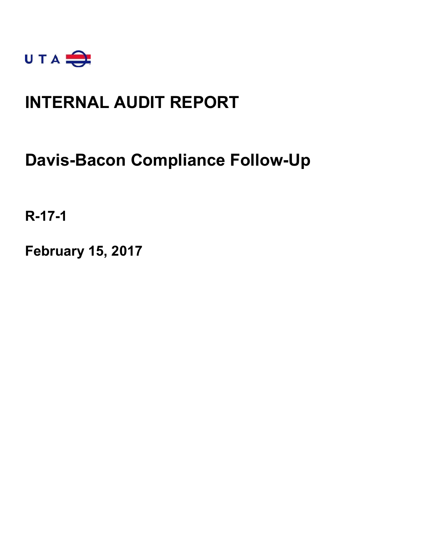

## **INTERNAL AUDIT REPORT**

## **Davis-Bacon Compliance Follow-Up**

**R-17-1**

**February 15, 2017**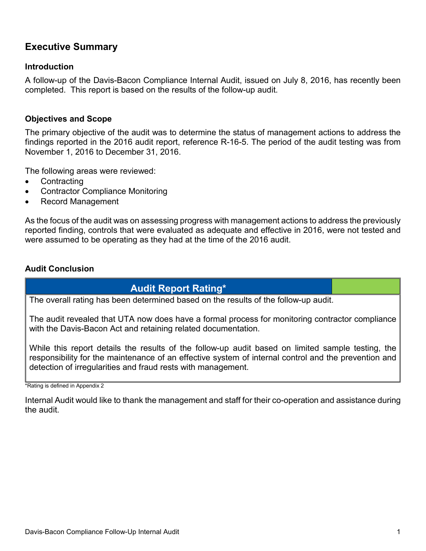## **Executive Summary**

#### **Introduction**

A follow-up of the Davis-Bacon Compliance Internal Audit, issued on July 8, 2016, has recently been completed. This report is based on the results of the follow-up audit.

#### **Objectives and Scope**

The primary objective of the audit was to determine the status of management actions to address the findings reported in the 2016 audit report, reference R-16-5. The period of the audit testing was from November 1, 2016 to December 31, 2016.

The following areas were reviewed:

- Contracting
- Contractor Compliance Monitoring
- Record Management

As the focus of the audit was on assessing progress with management actions to address the previously reported finding, controls that were evaluated as adequate and effective in 2016, were not tested and were assumed to be operating as they had at the time of the 2016 audit.

#### **Audit Conclusion**

#### **Audit Report Rating\***

The overall rating has been determined based on the results of the follow-up audit.

The audit revealed that UTA now does have a formal process for monitoring contractor compliance with the Davis-Bacon Act and retaining related documentation.

While this report details the results of the follow-up audit based on limited sample testing, the responsibility for the maintenance of an effective system of internal control and the prevention and detection of irregularities and fraud rests with management.

\*Rating is defined in Appendix 2

Internal Audit would like to thank the management and staff for their co-operation and assistance during the audit.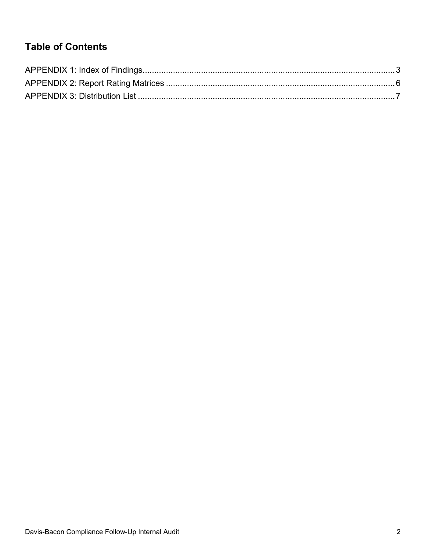## **Table of Contents**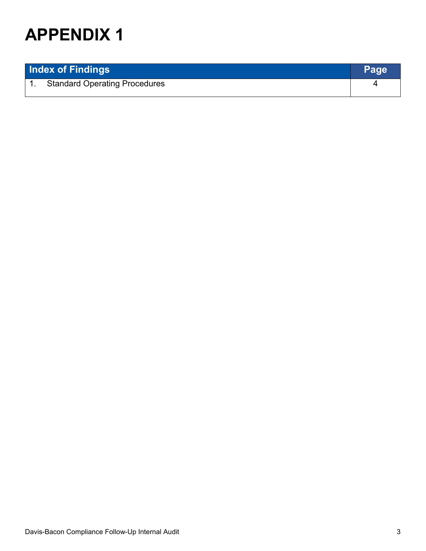| <b>Index of Findings</b> |                                      | Page |
|--------------------------|--------------------------------------|------|
|                          | <b>Standard Operating Procedures</b> |      |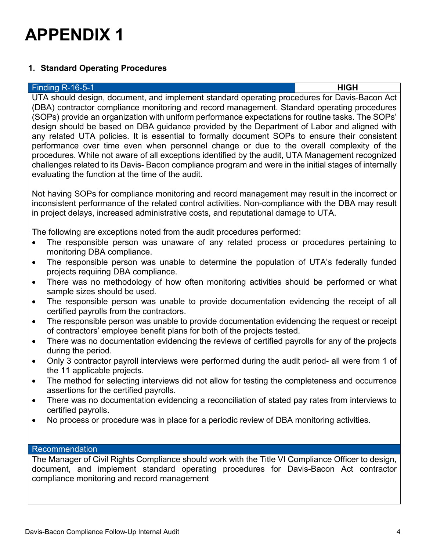

#### **1. Standard Operating Procedures**

#### Finding R-16-5-1 **HIGH**

UTA should design, document, and implement standard operating procedures for Davis-Bacon Act (DBA) contractor compliance monitoring and record management. Standard operating procedures (SOPs) provide an organization with uniform performance expectations for routine tasks. The SOPs' design should be based on DBA guidance provided by the Department of Labor and aligned with any related UTA policies. It is essential to formally document SOPs to ensure their consistent performance over time even when personnel change or due to the overall complexity of the procedures. While not aware of all exceptions identified by the audit, UTA Management recognized challenges related to its Davis- Bacon compliance program and were in the initial stages of internally evaluating the function at the time of the audit.

Not having SOPs for compliance monitoring and record management may result in the incorrect or inconsistent performance of the related control activities. Non-compliance with the DBA may result in project delays, increased administrative costs, and reputational damage to UTA.

The following are exceptions noted from the audit procedures performed:

- The responsible person was unaware of any related process or procedures pertaining to monitoring DBA compliance.
- The responsible person was unable to determine the population of UTA's federally funded projects requiring DBA compliance.
- There was no methodology of how often monitoring activities should be performed or what sample sizes should be used.
- The responsible person was unable to provide documentation evidencing the receipt of all certified payrolls from the contractors.
- The responsible person was unable to provide documentation evidencing the request or receipt of contractors' employee benefit plans for both of the projects tested.
- There was no documentation evidencing the reviews of certified payrolls for any of the projects during the period.
- Only 3 contractor payroll interviews were performed during the audit period- all were from 1 of the 11 applicable projects.
- The method for selecting interviews did not allow for testing the completeness and occurrence assertions for the certified payrolls.
- There was no documentation evidencing a reconciliation of stated pay rates from interviews to certified payrolls.
- No process or procedure was in place for a periodic review of DBA monitoring activities.

#### Recommendation

The Manager of Civil Rights Compliance should work with the Title VI Compliance Officer to design, document, and implement standard operating procedures for Davis-Bacon Act contractor compliance monitoring and record management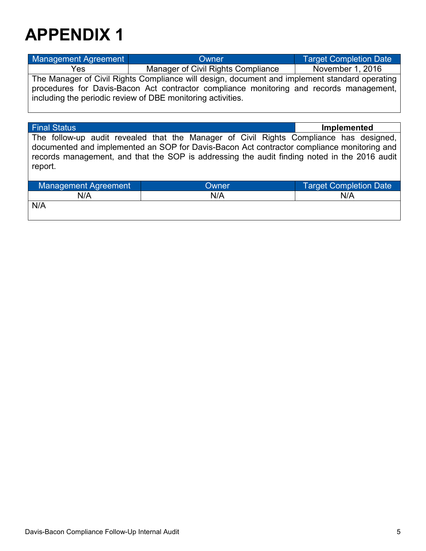| Management Agreement                                                                                                                                                                                                                                                        | Owner                              | <b>Target Completion Date</b> |  |
|-----------------------------------------------------------------------------------------------------------------------------------------------------------------------------------------------------------------------------------------------------------------------------|------------------------------------|-------------------------------|--|
| Yes                                                                                                                                                                                                                                                                         | Manager of Civil Rights Compliance |                               |  |
| November 1, 2016<br>The Manager of Civil Rights Compliance will design, document and implement standard operating<br>procedures for Davis-Bacon Act contractor compliance monitoring and records management,<br>including the periodic review of DBE monitoring activities. |                                    |                               |  |

| <b>Final Status</b>                                                                                                                                                                                                                                                                             |       | Implemented                   |  |
|-------------------------------------------------------------------------------------------------------------------------------------------------------------------------------------------------------------------------------------------------------------------------------------------------|-------|-------------------------------|--|
| The follow-up audit revealed that the Manager of Civil Rights Compliance has designed,<br>documented and implemented an SOP for Davis-Bacon Act contractor compliance monitoring and<br>records management, and that the SOP is addressing the audit finding noted in the 2016 audit<br>report. |       |                               |  |
| Management Agreement                                                                                                                                                                                                                                                                            | Owner | <b>Target Completion Date</b> |  |
| N/A                                                                                                                                                                                                                                                                                             | N/A   | N/A                           |  |
| N/A                                                                                                                                                                                                                                                                                             |       |                               |  |

Davis-Bacon Compliance Follow-Up Internal Audit 5 and 5 and 5 and 5 and 5 and 5 and 5 and 5 and 5 and 5 and 5 and 5 and 5 and 5 and 5 and 5 and 5 and 5 and 5 and 5 and 5 and 5 and 5 and 5 and 5 and 5 and 5 and 5 and 5 and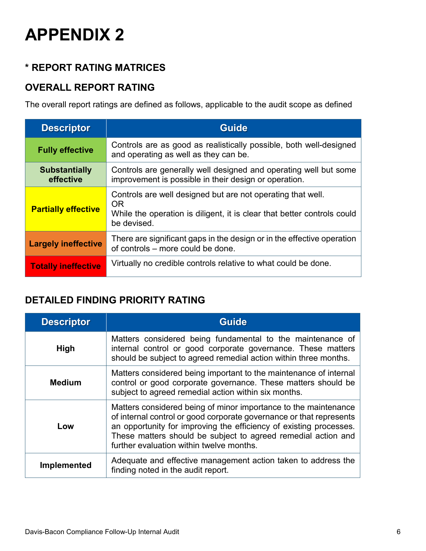## **\* REPORT RATING MATRICES**

### **OVERALL REPORT RATING**

The overall report ratings are defined as follows, applicable to the audit scope as defined

| <b>Descriptor</b>                 | <b>Guide</b>                                                                                                                                                       |  |
|-----------------------------------|--------------------------------------------------------------------------------------------------------------------------------------------------------------------|--|
| <b>Fully effective</b>            | Controls are as good as realistically possible, both well-designed<br>and operating as well as they can be.                                                        |  |
| <b>Substantially</b><br>effective | Controls are generally well designed and operating well but some<br>improvement is possible in their design or operation.                                          |  |
| <b>Partially effective</b>        | Controls are well designed but are not operating that well.<br><b>OR</b><br>While the operation is diligent, it is clear that better controls could<br>be devised. |  |
| <b>Largely ineffective</b>        | There are significant gaps in the design or in the effective operation<br>of controls – more could be done.                                                        |  |
| <b>Totally ineffective</b>        | Virtually no credible controls relative to what could be done.                                                                                                     |  |

### **DETAILED FINDING PRIORITY RATING**

| <b>Descriptor</b>  | <b>Guide</b>                                                                                                                                                                                                                                                                                                              |  |
|--------------------|---------------------------------------------------------------------------------------------------------------------------------------------------------------------------------------------------------------------------------------------------------------------------------------------------------------------------|--|
| <b>High</b>        | Matters considered being fundamental to the maintenance of<br>internal control or good corporate governance. These matters<br>should be subject to agreed remedial action within three months.                                                                                                                            |  |
| Medium             | Matters considered being important to the maintenance of internal<br>control or good corporate governance. These matters should be<br>subject to agreed remedial action within six months.                                                                                                                                |  |
| Low                | Matters considered being of minor importance to the maintenance<br>of internal control or good corporate governance or that represents<br>an opportunity for improving the efficiency of existing processes.<br>These matters should be subject to agreed remedial action and<br>further evaluation within twelve months. |  |
| <b>Implemented</b> | Adequate and effective management action taken to address the<br>finding noted in the audit report.                                                                                                                                                                                                                       |  |